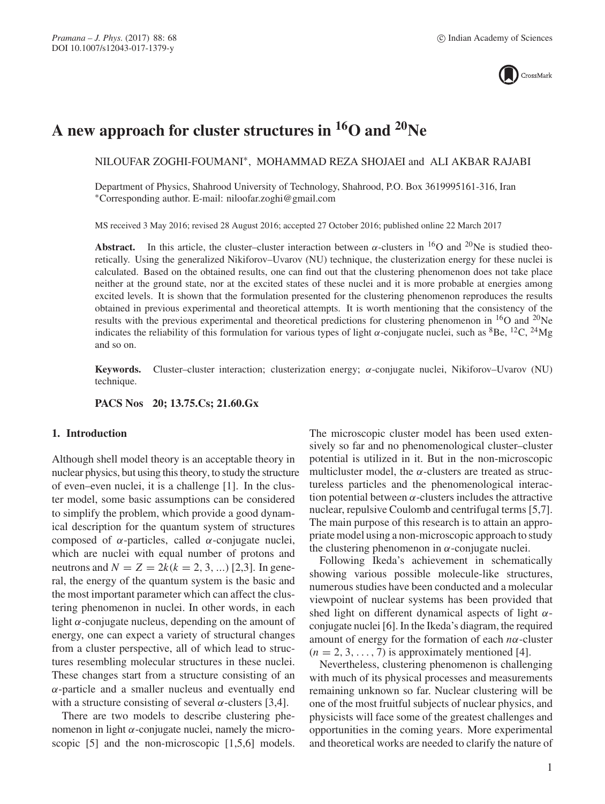

# **A new approach for cluster structures in 16O and 20Ne**

NILOUFAR ZOGHI-FOUMANI∗, MOHAMMAD REZA SHOJAEI and ALI AKBAR RAJABI

Department of Physics, Shahrood University of Technology, Shahrood, P.O. Box 3619995161-316, Iran ∗Corresponding author. E-mail: niloofar.zoghi@gmail.com

MS received 3 May 2016; revised 28 August 2016; accepted 27 October 2016; published online 22 March 2017

**Abstract.** In this article, the cluster–cluster interaction between  $\alpha$ -clusters in <sup>16</sup>O and <sup>20</sup>Ne is studied theoretically. Using the generalized Nikiforov–Uvarov (NU) technique, the clusterization energy for these nuclei is calculated. Based on the obtained results, one can find out that the clustering phenomenon does not take place neither at the ground state, nor at the excited states of these nuclei and it is more probable at energies among excited levels. It is shown that the formulation presented for the clustering phenomenon reproduces the results obtained in previous experimental and theoretical attempts. It is worth mentioning that the consistency of the results with the previous experimental and theoretical predictions for clustering phenomenon in  $^{16}O$  and  $^{20}Ne$ indicates the reliability of this formulation for various types of light  $\alpha$ -conjugate nuclei, such as <sup>8</sup>Be, <sup>12</sup>C, <sup>24</sup>Mg and so on.

**Keywords.** Cluster–cluster interaction; clusterization energy; α-conjugate nuclei, Nikiforov–Uvarov (NU) technique.

**PACS Nos 20; 13.75.Cs; 21.60.Gx**

# **1. Introduction**

Although shell model theory is an acceptable theory in nuclear physics, but using this theory, to study the structure of even–even nuclei, it is a challenge [1]. In the cluster model, some basic assumptions can be considered to simplify the problem, which provide a good dynamical description for the quantum system of structures composed of α-particles, called α-conjugate nuclei, which are nuclei with equal number of protons and neutrons and  $N = Z = 2k(k = 2, 3, ...)$  [2,3]. In general, the energy of the quantum system is the basic and the most important parameter which can affect the clustering phenomenon in nuclei. In other words, in each light  $\alpha$ -conjugate nucleus, depending on the amount of energy, one can expect a variety of structural changes from a cluster perspective, all of which lead to structures resembling molecular structures in these nuclei. These changes start from a structure consisting of an  $\alpha$ -particle and a smaller nucleus and eventually end with a structure consisting of several  $\alpha$ -clusters [3,4].

There are two models to describe clustering phenomenon in light  $α$ -conjugate nuclei, namely the microscopic [5] and the non-microscopic [1,5,6] models. The microscopic cluster model has been used extensively so far and no phenomenological cluster–cluster potential is utilized in it. But in the non-microscopic multicluster model, the  $\alpha$ -clusters are treated as structureless particles and the phenomenological interaction potential between  $\alpha$ -clusters includes the attractive nuclear, repulsive Coulomb and centrifugal terms [5,7]. The main purpose of this research is to attain an appropriate model using a non-microscopic approach to study the clustering phenomenon in  $\alpha$ -conjugate nuclei.

Following Ikeda's achievement in schematically showing various possible molecule-like structures, numerous studies have been conducted and a molecular viewpoint of nuclear systems has been provided that shed light on different dynamical aspects of light  $\alpha$ conjugate nuclei [6]. In the Ikeda's diagram, the required amount of energy for the formation of each  $n\alpha$ -cluster  $(n = 2, 3, \ldots, 7)$  is approximately mentioned [4].

Nevertheless, clustering phenomenon is challenging with much of its physical processes and measurements remaining unknown so far. Nuclear clustering will be one of the most fruitful subjects of nuclear physics, and physicists will face some of the greatest challenges and opportunities in the coming years. More experimental and theoretical works are needed to clarify the nature of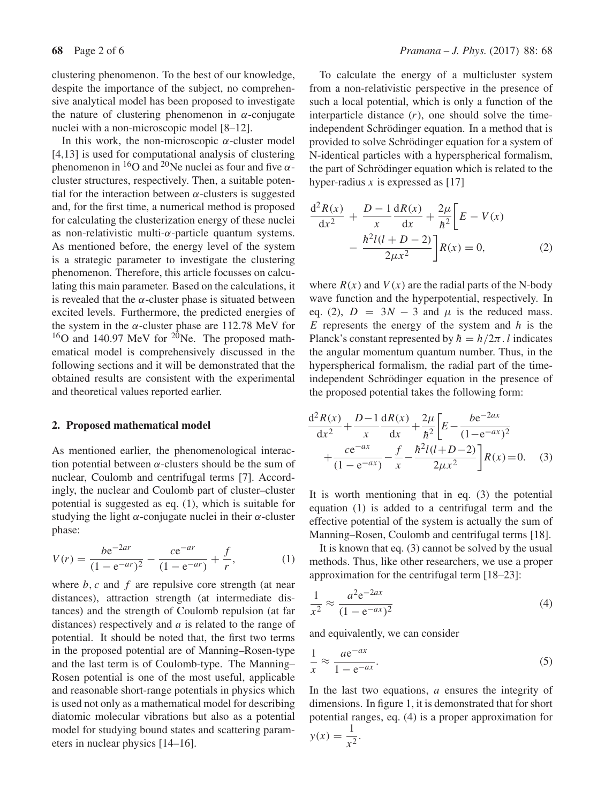clustering phenomenon. To the best of our knowledge, despite the importance of the subject, no comprehensive analytical model has been proposed to investigate the nature of clustering phenomenon in  $\alpha$ -conjugate nuclei with a non-microscopic model [8–12].

In this work, the non-microscopic  $\alpha$ -cluster model [4,13] is used for computational analysis of clustering phenomenon in  ${}^{16}O$  and  ${}^{20}Ne$  nuclei as four and five  $\alpha$ cluster structures, respectively. Then, a suitable potential for the interaction between  $\alpha$ -clusters is suggested and, for the first time, a numerical method is proposed for calculating the clusterization energy of these nuclei as non-relativistic multi- $\alpha$ -particle quantum systems. As mentioned before, the energy level of the system is a strategic parameter to investigate the clustering phenomenon. Therefore, this article focusses on calculating this main parameter. Based on the calculations, it is revealed that the  $\alpha$ -cluster phase is situated between excited levels. Furthermore, the predicted energies of the system in the  $\alpha$ -cluster phase are 112.78 MeV for  $16$ O and 140.97 MeV for  $20$ Ne. The proposed mathematical model is comprehensively discussed in the following sections and it will be demonstrated that the obtained results are consistent with the experimental and theoretical values reported earlier.

## **2. Proposed mathematical model**

As mentioned earlier, the phenomenological interaction potential between  $\alpha$ -clusters should be the sum of nuclear, Coulomb and centrifugal terms [7]. Accordingly, the nuclear and Coulomb part of cluster–cluster potential is suggested as eq. (1), which is suitable for studying the light  $\alpha$ -conjugate nuclei in their  $\alpha$ -cluster phase:

$$
V(r) = \frac{b e^{-2ar}}{(1 - e^{-ar})^2} - \frac{ce^{-ar}}{(1 - e^{-ar})} + \frac{f}{r},
$$
 (1)

where  $b, c$  and  $f$  are repulsive core strength (at near distances), attraction strength (at intermediate distances) and the strength of Coulomb repulsion (at far distances) respectively and a is related to the range of potential. It should be noted that, the first two terms in the proposed potential are of Manning–Rosen-type and the last term is of Coulomb-type. The Manning– Rosen potential is one of the most useful, applicable and reasonable short-range potentials in physics which is used not only as a mathematical model for describing diatomic molecular vibrations but also as a potential model for studying bound states and scattering parameters in nuclear physics [14–16].

To calculate the energy of a multicluster system from a non-relativistic perspective in the presence of such a local potential, which is only a function of the interparticle distance  $(r)$ , one should solve the timeindependent Schrödinger equation. In a method that is provided to solve Schrödinger equation for a system of N-identical particles with a hyperspherical formalism, the part of Schrödinger equation which is related to the hyper-radius x is expressed as  $[17]$ 

$$
\frac{d^2 R(x)}{dx^2} + \frac{D - 1}{x} \frac{dR(x)}{dx} + \frac{2\mu}{\hbar^2} \left[ E - V(x) - \frac{\hbar^2 l(l + D - 2)}{2\mu x^2} \right] R(x) = 0,
$$
\n(2)

where  $R(x)$  and  $V(x)$  are the radial parts of the N-body wave function and the hyperpotential, respectively. In eq. (2),  $D = 3N - 3$  and  $\mu$  is the reduced mass.  $E$  represents the energy of the system and  $h$  is the Planck's constant represented by  $\hbar = h/2\pi$ . l indicates the angular momentum quantum number. Thus, in the hyperspherical formalism, the radial part of the timeindependent Schrödinger equation in the presence of the proposed potential takes the following form:

$$
\frac{d^2 R(x)}{dx^2} + \frac{D-1}{x} \frac{dR(x)}{dx} + \frac{2\mu}{\hbar^2} \left[ E - \frac{be^{-2ax}}{(1 - e^{-ax})^2} + \frac{ce^{-ax}}{(1 - e^{-ax})} - \frac{f}{x} - \frac{\hbar^2 l(l + D - 2)}{2\mu x^2} \right] R(x) = 0.
$$
 (3)

It is worth mentioning that in eq. (3) the potential equation (1) is added to a centrifugal term and the effective potential of the system is actually the sum of Manning–Rosen, Coulomb and centrifugal terms [18].

It is known that eq. (3) cannot be solved by the usual methods. Thus, like other researchers, we use a proper approximation for the centrifugal term [18–23]:

$$
\frac{1}{x^2} \approx \frac{a^2 e^{-2ax}}{(1 - e^{-ax})^2}
$$
 (4)

and equivalently, we can consider

$$
\frac{1}{x} \approx \frac{a e^{-ax}}{1 - e^{-ax}}.\tag{5}
$$

In the last two equations, a ensures the integrity of dimensions. In figure 1, it is demonstrated that for short potential ranges, eq. (4) is a proper approximation for  $y(x) = \frac{1}{x^2}.$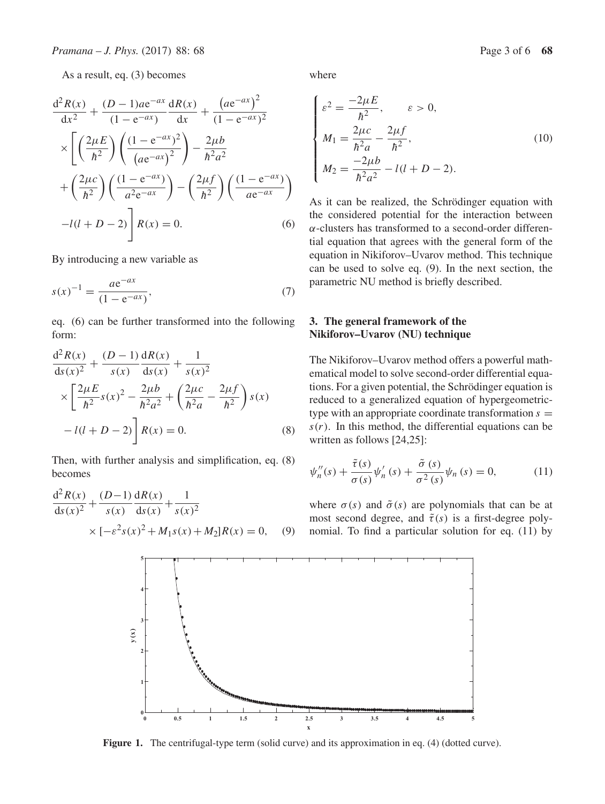As a result, eq. (3) becomes

$$
\frac{d^2 R(x)}{dx^2} + \frac{(D-1)ae^{-ax}}{(1 - e^{-ax})} \frac{dR(x)}{dx} + \frac{(ae^{-ax})^2}{(1 - e^{-ax})^2} \times \left[ \left( \frac{2\mu E}{\hbar^2} \right) \left( \frac{(1 - e^{-ax})^2}{(ae^{-ax})^2} \right) - \frac{2\mu b}{\hbar^2 a^2} + \left( \frac{2\mu c}{\hbar^2} \right) \left( \frac{(1 - e^{-ax})}{a^2 e^{-ax}} \right) - \left( \frac{2\mu f}{\hbar^2} \right) \left( \frac{(1 - e^{-ax})}{ae^{-ax}} \right) - l(l + D - 2) \right] R(x) = 0.
$$
\n(6)

By introducing a new variable as

$$
s(x)^{-1} = \frac{a e^{-ax}}{(1 - e^{-ax})},
$$
\n(7)

eq. (6) can be further transformed into the following form:

$$
\frac{d^2 R(x)}{ds(x)^2} + \frac{(D-1)}{s(x)} \frac{dR(x)}{ds(x)} + \frac{1}{s(x)^2}
$$
  
 
$$
\times \left[ \frac{2\mu E}{\hbar^2} s(x)^2 - \frac{2\mu b}{\hbar^2 a^2} + \left( \frac{2\mu c}{\hbar^2 a} - \frac{2\mu f}{\hbar^2} \right) s(x) - l(l+D-2) \right] R(x) = 0.
$$
 (8)

Then, with further analysis and simplification, eq. (8) becomes

$$
\frac{d^2 R(x)}{ds(x)^2} + \frac{(D-1) dR(x)}{s(x)} + \frac{1}{s(x)^2}
$$
  
×  $[-\varepsilon^2 s(x)^2 + M_1 s(x) + M_2]R(x) = 0$ , (9)

where

$$
\begin{cases}\n\varepsilon^2 = \frac{-2\mu E}{\hbar^2}, & \varepsilon > 0, \\
M_1 = \frac{2\mu c}{\hbar^2 a} - \frac{2\mu f}{\hbar^2}, \\
M_2 = \frac{-2\mu b}{\hbar^2 a^2} - l(l + D - 2).\n\end{cases}
$$
\n(10)

As it can be realized, the Schrödinger equation with the considered potential for the interaction between α-clusters has transformed to a second-order differential equation that agrees with the general form of the equation in Nikiforov–Uvarov method. This technique can be used to solve eq. (9). In the next section, the parametric NU method is briefly described.

# **3. The general framework of the Nikiforov–Uvarov (NU) technique**

The Nikiforov–Uvarov method offers a powerful mathematical model to solve second-order differential equations. For a given potential, the Schrödinger equation is reduced to a generalized equation of hypergeometrictype with an appropriate coordinate transformation  $s =$  $s(r)$ . In this method, the differential equations can be written as follows [24,25]:

$$
\psi_{n}''(s) + \frac{\tilde{\tau}(s)}{\sigma(s)} \psi_{n}'(s) + \frac{\tilde{\sigma}(s)}{\sigma^{2}(s)} \psi_{n}(s) = 0, \qquad (11)
$$

where  $\sigma(s)$  and  $\tilde{\sigma}(s)$  are polynomials that can be at most second degree, and  $\tilde{\tau}(s)$  is a first-degree polynomial. To find a particular solution for eq. (11) by



Figure 1. The centrifugal-type term (solid curve) and its approximation in eq. (4) (dotted curve).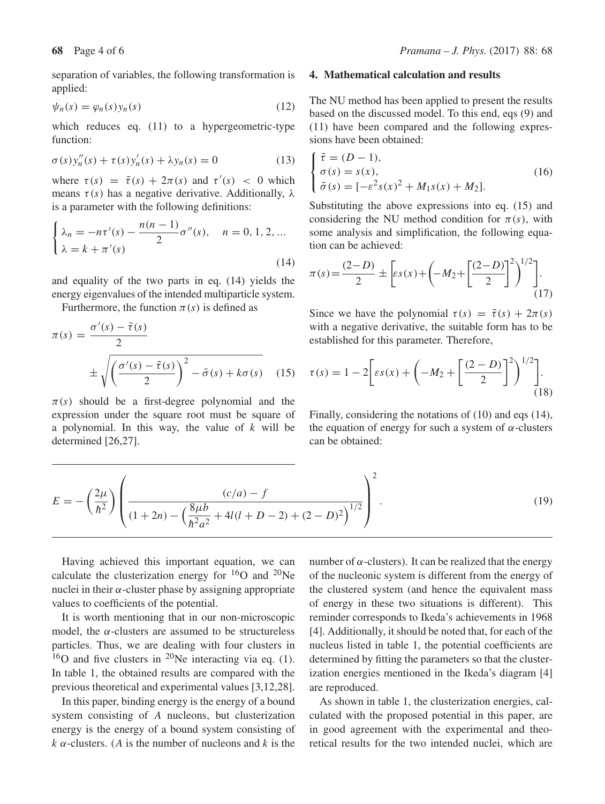separation of variables, the following transformation is applied:

$$
\psi_n(s) = \varphi_n(s) y_n(s) \tag{12}
$$

which reduces eq. (11) to a hypergeometric-type function:

$$
\sigma(s)y_n''(s) + \tau(s)y_n'(s) + \lambda y_n(s) = 0
$$
\n(13)

where  $\tau(s) = \tilde{\tau}(s) + 2\pi(s)$  and  $\tau'(s) < 0$  which means  $\tau(s)$  has a negative derivative. Additionally,  $\lambda$ is a parameter with the following definitions:

$$
\begin{cases} \lambda_n = -n\tau'(s) - \frac{n(n-1)}{2}\sigma''(s), & n = 0, 1, 2, ... \\ \lambda = k + \pi'(s) \end{cases}
$$
 (14)

and equality of the two parts in eq. (14) yields the energy eigenvalues of the intended multiparticle system.

Furthermore, the function  $\pi(s)$  is defined as

$$
\pi(s) = \frac{\sigma'(s) - \tilde{\tau}(s)}{2}
$$

$$
\pm \sqrt{\left(\frac{\sigma'(s) - \tilde{\tau}(s)}{2}\right)^2 - \tilde{\sigma}(s) + k\sigma(s)} \quad (15)
$$

 $\pi(s)$  should be a first-degree polynomial and the expression under the square root must be square of a polynomial. In this way, the value of  $k$  will be determined [26,27].

#### **4. Mathematical calculation and results**

The NU method has been applied to present the results based on the discussed model. To this end, eqs (9) and (11) have been compared and the following expressions have been obtained:

$$
\begin{cases} \tilde{\tau} = (D - 1), \\ \sigma(s) = s(x), \\ \tilde{\sigma}(s) = [-\varepsilon^2 s(x)^2 + M_1 s(x) + M_2]. \end{cases}
$$
(16)

Substituting the above expressions into eq. (15) and considering the NU method condition for  $\pi(s)$ , with some analysis and simplification, the following equation can be achieved:

$$
\pi(s) = \frac{(2-D)}{2} \pm \left[ \varepsilon s(x) + \left( -M_2 + \left[ \frac{(2-D)}{2} \right]^2 \right)^{1/2} \right].
$$
\n(17)

Since we have the polynomial  $\tau(s) = \tilde{\tau}(s) + 2\pi(s)$ with a negative derivative, the suitable form has to be established for this parameter. Therefore,

$$
\tau(s) = 1 - 2 \left[ \varepsilon s(x) + \left( -M_2 + \left[ \frac{(2-D)}{2} \right]^2 \right)^{1/2} \right].
$$
\n(18)

Finally, considering the notations of (10) and eqs (14), the equation of energy for such a system of  $\alpha$ -clusters can be obtained:

$$
E = -\left(\frac{2\mu}{\hbar^2}\right) \left(\frac{(c/a) - f}{(1+2n) - \left(\frac{8\mu b}{\hbar^2 a^2} + 4l(l+D-2) + (2-D)^2\right)^{1/2}}\right)^2.
$$
 (19)

Having achieved this important equation, we can calculate the clusterization energy for  ${}^{16}O$  and  ${}^{20}Ne$ nuclei in their  $\alpha$ -cluster phase by assigning appropriate values to coefficients of the potential.

It is worth mentioning that in our non-microscopic model, the  $\alpha$ -clusters are assumed to be structureless particles. Thus, we are dealing with four clusters in  $16$ O and five clusters in  $20$ Ne interacting via eq. (1). In table 1, the obtained results are compared with the previous theoretical and experimental values [3,12,28].

In this paper, binding energy is the energy of a bound system consisting of A nucleons, but clusterization energy is the energy of a bound system consisting of  $k \alpha$ -clusters. (A is the number of nucleons and k is the number of  $\alpha$ -clusters). It can be realized that the energy of the nucleonic system is different from the energy of the clustered system (and hence the equivalent mass of energy in these two situations is different). This reminder corresponds to Ikeda's achievements in 1968 [4]. Additionally, it should be noted that, for each of the nucleus listed in table 1, the potential coefficients are determined by fitting the parameters so that the clusterization energies mentioned in the Ikeda's diagram [4] are reproduced.

As shown in table 1, the clusterization energies, calculated with the proposed potential in this paper, are in good agreement with the experimental and theoretical results for the two intended nuclei, which are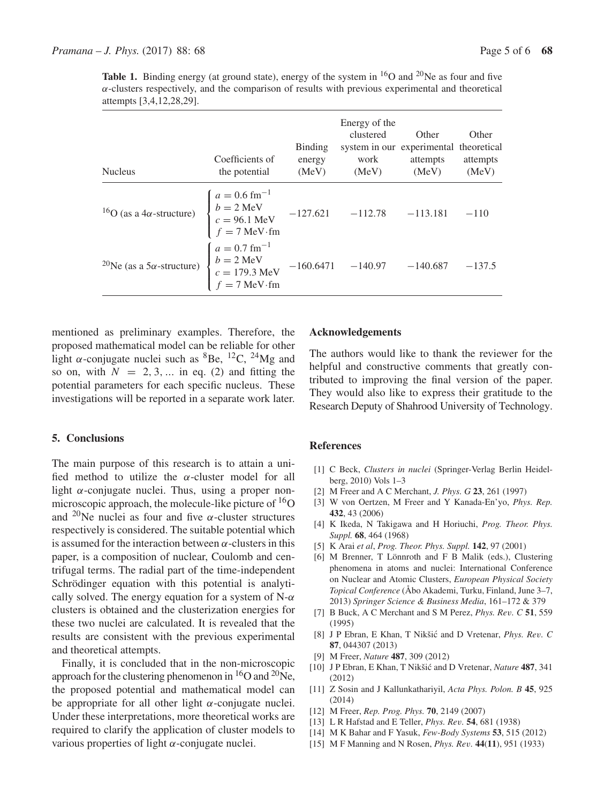**Table 1.** Binding energy (at ground state), energy of the system in  $^{16}O$  and  $^{20}Ne$  as four and five  $\alpha$ -clusters respectively, and the comparison of results with previous experimental and theoretical attempts [3,4,12,28,29].

| <b>Nucleus</b>                                                                                                                                                                                                 | Coefficients of<br>the potential | <b>Binding</b><br>energy<br>(MeV) | Energy of the<br>clustered<br>system in our experimental theoretical<br>work<br>(MeV) | Other<br>attempts<br>(MeV) | Other<br>attempts<br>(MeV) |
|----------------------------------------------------------------------------------------------------------------------------------------------------------------------------------------------------------------|----------------------------------|-----------------------------------|---------------------------------------------------------------------------------------|----------------------------|----------------------------|
| <sup>16</sup> O (as a 4 $\alpha$ -structure) $\begin{cases} a = 0.6 \text{ fm}^{-1} \\ b = 2 \text{ MeV} \\ c = 96.1 \text{ MeV} \\ f = 7 \text{ MeV} \cdot \text{fm} \end{cases}$ -127.621 -112.78 -113.181   |                                  |                                   |                                                                                       |                            | $-110$                     |
| <sup>1</sup><br><sup>0</sup> Ne (as a 5 $\alpha$ -structure) $\begin{cases} a = 0.7 \text{ fm}^{-1} \\ b = 2 \text{ MeV} \\ c = 179.3 \text{ MeV} \\ c = 7 \text{ MeV} \end{cases}$ -160.6471 -140.97 -140.687 |                                  |                                   |                                                                                       |                            | $-137.5$                   |

mentioned as preliminary examples. Therefore, the proposed mathematical model can be reliable for other light  $\alpha$ -conjugate nuclei such as <sup>8</sup>Be, <sup>12</sup>C, <sup>24</sup>Mg and so on, with  $N = 2, 3, \dots$  in eq. (2) and fitting the potential parameters for each specific nucleus. These investigations will be reported in a separate work later.

### **5. Conclusions**

The main purpose of this research is to attain a unified method to utilize the  $\alpha$ -cluster model for all light  $\alpha$ -conjugate nuclei. Thus, using a proper nonmicroscopic approach, the molecule-like picture of  ${}^{16}O$ and <sup>20</sup>Ne nuclei as four and five  $\alpha$ -cluster structures respectively is considered. The suitable potential which is assumed for the interaction between  $\alpha$ -clusters in this paper, is a composition of nuclear, Coulomb and centrifugal terms. The radial part of the time-independent Schrödinger equation with this potential is analytically solved. The energy equation for a system of  $N-\alpha$ clusters is obtained and the clusterization energies for these two nuclei are calculated. It is revealed that the results are consistent with the previous experimental and theoretical attempts.

Finally, it is concluded that in the non-microscopic approach for the clustering phenomenon in  ${}^{16}O$  and  ${}^{20}Ne$ , the proposed potential and mathematical model can be appropriate for all other light  $\alpha$ -conjugate nuclei. Under these interpretations, more theoretical works are required to clarify the application of cluster models to various properties of light α-conjugate nuclei.

# **Acknowledgements**

The authors would like to thank the reviewer for the helpful and constructive comments that greatly contributed to improving the final version of the paper. They would also like to express their gratitude to the Research Deputy of Shahrood University of Technology.

#### **References**

- [1] C Beck, *Clusters in nuclei* (Springer-Verlag Berlin Heidelberg, 2010) Vols 1–3
- [2] M Freer and A C Merchant, *J. Phys. G* **23**, 261 (1997)
- [3] W von Oertzen, M Freer and Y Kanada-En'yo, *Phys. Rep.* **432**, 43 (2006)
- [4] K Ikeda, N Takigawa and H Horiuchi, *Prog. Theor. Phys. Suppl.* **68**, 464 (1968)
- [5] K Arai *et al*, *Prog. Theor. Phys. Suppl.* **142**, 97 (2001)
- [6] M Brenner, T Lönnroth and F B Malik (eds.), Clustering phenomena in atoms and nuclei: International Conference on Nuclear and Atomic Clusters, *European Physical Society Topical Conference* (Åbo Akademi, Turku, Finland, June 3–7, 2013) *Springer Science & Business Media*, 161–172 & 379
- [7] B Buck, A C Merchant and S M Perez, *Phys. Re*v*. C* **51**, 559 (1995)
- [8] J P Ebran, E Khan, T Nikšić and D Vretenar, *Phys. Rev. C* **87**, 044307 (2013)
- [9] M Freer, *Nature* **487**, 309 (2012)
- [10] J P Ebran, E Khan, T Nikšić and D Vretenar, *Nature* 487, 341 (2012)
- [11] Z Sosin and J Kallunkathariyil, *Acta Phys. Polon. B* **45**, 925 (2014)
- [12] M Freer, *Rep. Prog. Phys.* **70**, 2149 (2007)
- [13] L R Hafstad and E Teller, *Phys. Re*v*.* **54**, 681 (1938)
- [14] M K Bahar and F Yasuk, *Few-Body Systems* **53**, 515 (2012)
- [15] M F Manning and N Rosen, *Phys. Re*v*.* **44**(**11**), 951 (1933)